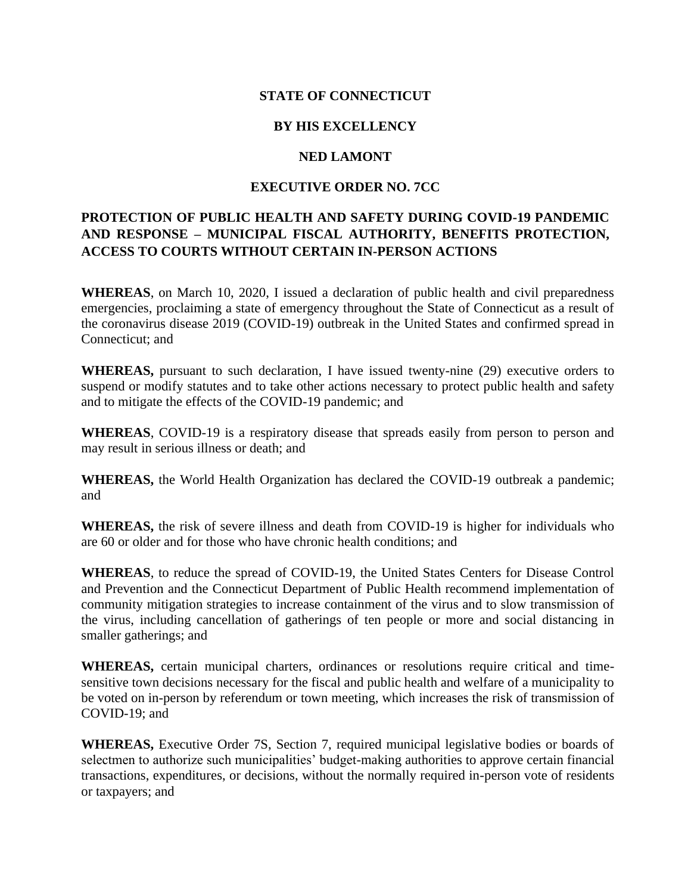## **STATE OF CONNECTICUT**

## **BY HIS EXCELLENCY**

#### **NED LAMONT**

## **EXECUTIVE ORDER NO. 7CC**

# **PROTECTION OF PUBLIC HEALTH AND SAFETY DURING COVID-19 PANDEMIC AND RESPONSE – MUNICIPAL FISCAL AUTHORITY, BENEFITS PROTECTION, ACCESS TO COURTS WITHOUT CERTAIN IN-PERSON ACTIONS**

**WHEREAS**, on March 10, 2020, I issued a declaration of public health and civil preparedness emergencies, proclaiming a state of emergency throughout the State of Connecticut as a result of the coronavirus disease 2019 (COVID-19) outbreak in the United States and confirmed spread in Connecticut; and

**WHEREAS,** pursuant to such declaration, I have issued twenty-nine (29) executive orders to suspend or modify statutes and to take other actions necessary to protect public health and safety and to mitigate the effects of the COVID-19 pandemic; and

**WHEREAS**, COVID-19 is a respiratory disease that spreads easily from person to person and may result in serious illness or death; and

**WHEREAS,** the World Health Organization has declared the COVID-19 outbreak a pandemic; and

**WHEREAS,** the risk of severe illness and death from COVID-19 is higher for individuals who are 60 or older and for those who have chronic health conditions; and

**WHEREAS**, to reduce the spread of COVID-19, the United States Centers for Disease Control and Prevention and the Connecticut Department of Public Health recommend implementation of community mitigation strategies to increase containment of the virus and to slow transmission of the virus, including cancellation of gatherings of ten people or more and social distancing in smaller gatherings; and

**WHEREAS,** certain municipal charters, ordinances or resolutions require critical and timesensitive town decisions necessary for the fiscal and public health and welfare of a municipality to be voted on in-person by referendum or town meeting, which increases the risk of transmission of COVID-19; and

**WHEREAS,** Executive Order 7S, Section 7, required municipal legislative bodies or boards of selectmen to authorize such municipalities' budget-making authorities to approve certain financial transactions, expenditures, or decisions, without the normally required in-person vote of residents or taxpayers; and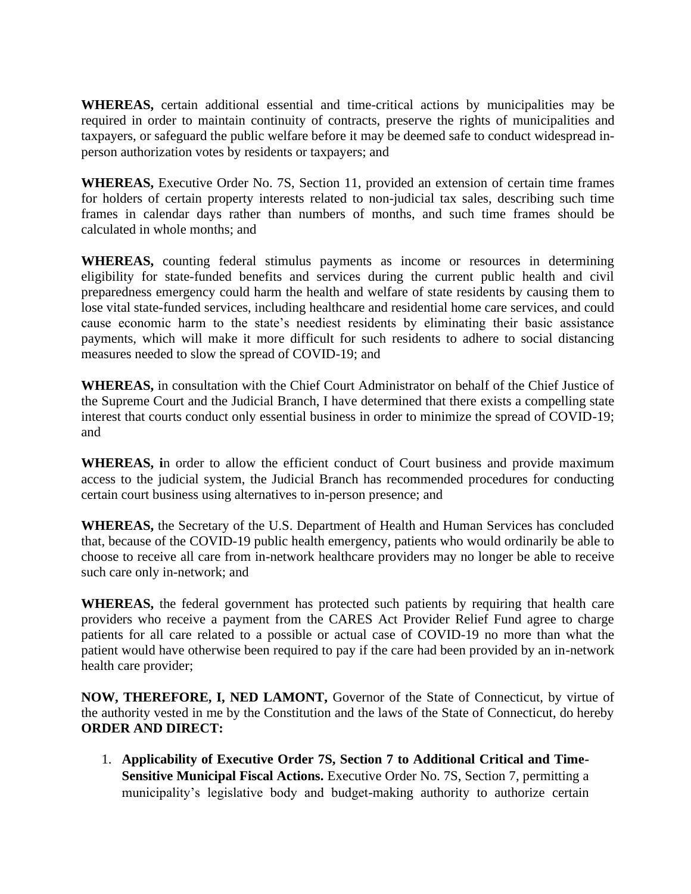**WHEREAS,** certain additional essential and time-critical actions by municipalities may be required in order to maintain continuity of contracts, preserve the rights of municipalities and taxpayers, or safeguard the public welfare before it may be deemed safe to conduct widespread inperson authorization votes by residents or taxpayers; and

**WHEREAS,** Executive Order No. 7S, Section 11, provided an extension of certain time frames for holders of certain property interests related to non-judicial tax sales, describing such time frames in calendar days rather than numbers of months, and such time frames should be calculated in whole months; and

**WHEREAS,** counting federal stimulus payments as income or resources in determining eligibility for state-funded benefits and services during the current public health and civil preparedness emergency could harm the health and welfare of state residents by causing them to lose vital state-funded services, including healthcare and residential home care services, and could cause economic harm to the state's neediest residents by eliminating their basic assistance payments, which will make it more difficult for such residents to adhere to social distancing measures needed to slow the spread of COVID-19; and

**WHEREAS,** in consultation with the Chief Court Administrator on behalf of the Chief Justice of the Supreme Court and the Judicial Branch, I have determined that there exists a compelling state interest that courts conduct only essential business in order to minimize the spread of COVID-19; and

**WHEREAS, i**n order to allow the efficient conduct of Court business and provide maximum access to the judicial system, the Judicial Branch has recommended procedures for conducting certain court business using alternatives to in-person presence; and

**WHEREAS,** the Secretary of the U.S. Department of Health and Human Services has concluded that, because of the COVID-19 public health emergency, patients who would ordinarily be able to choose to receive all care from in-network healthcare providers may no longer be able to receive such care only in-network; and

**WHEREAS,** the federal government has protected such patients by requiring that health care providers who receive a payment from the CARES Act Provider Relief Fund agree to charge patients for all care related to a possible or actual case of COVID-19 no more than what the patient would have otherwise been required to pay if the care had been provided by an in-network health care provider;

**NOW, THEREFORE, I, NED LAMONT,** Governor of the State of Connecticut, by virtue of the authority vested in me by the Constitution and the laws of the State of Connecticut, do hereby **ORDER AND DIRECT:**

1. **Applicability of Executive Order 7S, Section 7 to Additional Critical and Time-Sensitive Municipal Fiscal Actions.** Executive Order No. 7S, Section 7, permitting a municipality's legislative body and budget-making authority to authorize certain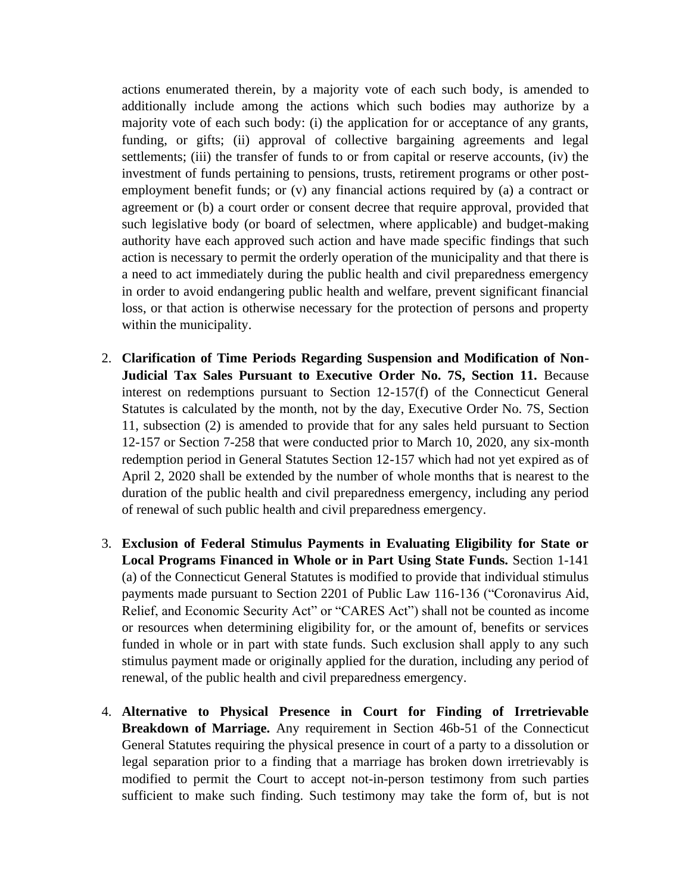actions enumerated therein, by a majority vote of each such body, is amended to additionally include among the actions which such bodies may authorize by a majority vote of each such body: (i) the application for or acceptance of any grants, funding, or gifts; (ii) approval of collective bargaining agreements and legal settlements; (iii) the transfer of funds to or from capital or reserve accounts, (iv) the investment of funds pertaining to pensions, trusts, retirement programs or other postemployment benefit funds; or (v) any financial actions required by (a) a contract or agreement or (b) a court order or consent decree that require approval, provided that such legislative body (or board of selectmen, where applicable) and budget-making authority have each approved such action and have made specific findings that such action is necessary to permit the orderly operation of the municipality and that there is a need to act immediately during the public health and civil preparedness emergency in order to avoid endangering public health and welfare, prevent significant financial loss, or that action is otherwise necessary for the protection of persons and property within the municipality.

- 2. **Clarification of Time Periods Regarding Suspension and Modification of Non-Judicial Tax Sales Pursuant to Executive Order No. 7S, Section 11.** Because interest on redemptions pursuant to Section 12-157(f) of the Connecticut General Statutes is calculated by the month, not by the day, Executive Order No. 7S, Section 11, subsection (2) is amended to provide that for any sales held pursuant to Section 12-157 or Section 7-258 that were conducted prior to March 10, 2020, any six-month redemption period in General Statutes Section 12-157 which had not yet expired as of April 2, 2020 shall be extended by the number of whole months that is nearest to the duration of the public health and civil preparedness emergency, including any period of renewal of such public health and civil preparedness emergency.
- 3. **Exclusion of Federal Stimulus Payments in Evaluating Eligibility for State or Local Programs Financed in Whole or in Part Using State Funds.** Section 1-141 (a) of the Connecticut General Statutes is modified to provide that individual stimulus payments made pursuant to Section 2201 of Public Law 116-136 ("Coronavirus Aid, Relief, and Economic Security Act" or "CARES Act") shall not be counted as income or resources when determining eligibility for, or the amount of, benefits or services funded in whole or in part with state funds. Such exclusion shall apply to any such stimulus payment made or originally applied for the duration, including any period of renewal, of the public health and civil preparedness emergency.
- 4. **Alternative to Physical Presence in Court for Finding of Irretrievable Breakdown of Marriage.** Any requirement in Section 46b-51 of the Connecticut General Statutes requiring the physical presence in court of a party to a dissolution or legal separation prior to a finding that a marriage has broken down irretrievably is modified to permit the Court to accept not-in-person testimony from such parties sufficient to make such finding. Such testimony may take the form of, but is not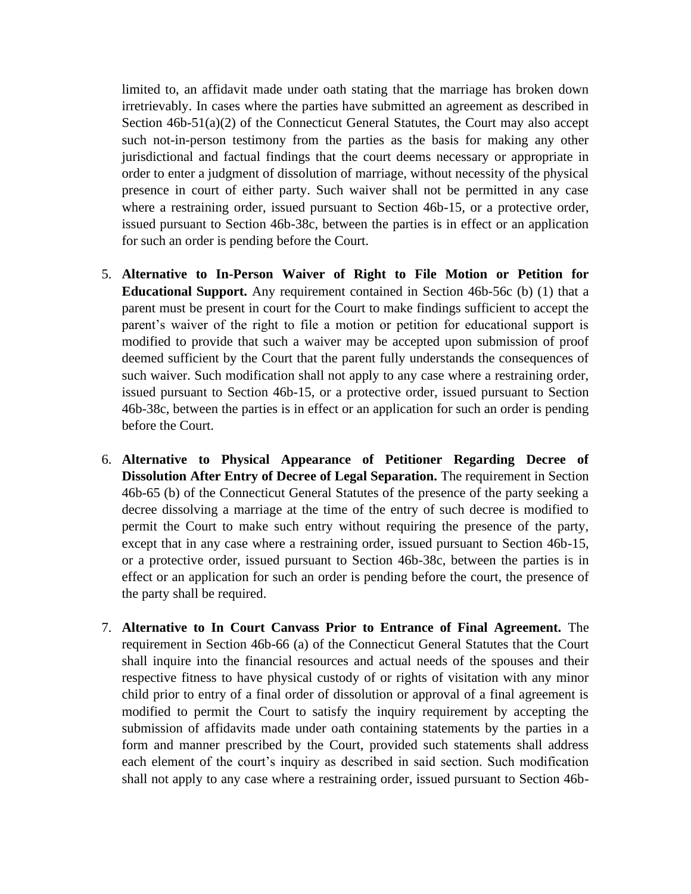limited to, an affidavit made under oath stating that the marriage has broken down irretrievably. In cases where the parties have submitted an agreement as described in Section 46b-51(a)(2) of the Connecticut General Statutes, the Court may also accept such not-in-person testimony from the parties as the basis for making any other jurisdictional and factual findings that the court deems necessary or appropriate in order to enter a judgment of dissolution of marriage, without necessity of the physical presence in court of either party. Such waiver shall not be permitted in any case where a restraining order, issued pursuant to Section 46b-15, or a protective order, issued pursuant to Section 46b-38c, between the parties is in effect or an application for such an order is pending before the Court.

- 5. **Alternative to In-Person Waiver of Right to File Motion or Petition for Educational Support.** Any requirement contained in Section 46b-56c (b) (1) that a parent must be present in court for the Court to make findings sufficient to accept the parent's waiver of the right to file a motion or petition for educational support is modified to provide that such a waiver may be accepted upon submission of proof deemed sufficient by the Court that the parent fully understands the consequences of such waiver. Such modification shall not apply to any case where a restraining order, issued pursuant to Section 46b-15, or a protective order, issued pursuant to Section 46b-38c, between the parties is in effect or an application for such an order is pending before the Court.
- 6. **Alternative to Physical Appearance of Petitioner Regarding Decree of Dissolution After Entry of Decree of Legal Separation.** The requirement in Section 46b-65 (b) of the Connecticut General Statutes of the presence of the party seeking a decree dissolving a marriage at the time of the entry of such decree is modified to permit the Court to make such entry without requiring the presence of the party, except that in any case where a restraining order, issued pursuant to Section 46b-15, or a protective order, issued pursuant to Section 46b-38c, between the parties is in effect or an application for such an order is pending before the court, the presence of the party shall be required.
- 7. **Alternative to In Court Canvass Prior to Entrance of Final Agreement.** The requirement in Section 46b-66 (a) of the Connecticut General Statutes that the Court shall inquire into the financial resources and actual needs of the spouses and their respective fitness to have physical custody of or rights of visitation with any minor child prior to entry of a final order of dissolution or approval of a final agreement is modified to permit the Court to satisfy the inquiry requirement by accepting the submission of affidavits made under oath containing statements by the parties in a form and manner prescribed by the Court, provided such statements shall address each element of the court's inquiry as described in said section. Such modification shall not apply to any case where a restraining order, issued pursuant to Section 46b-